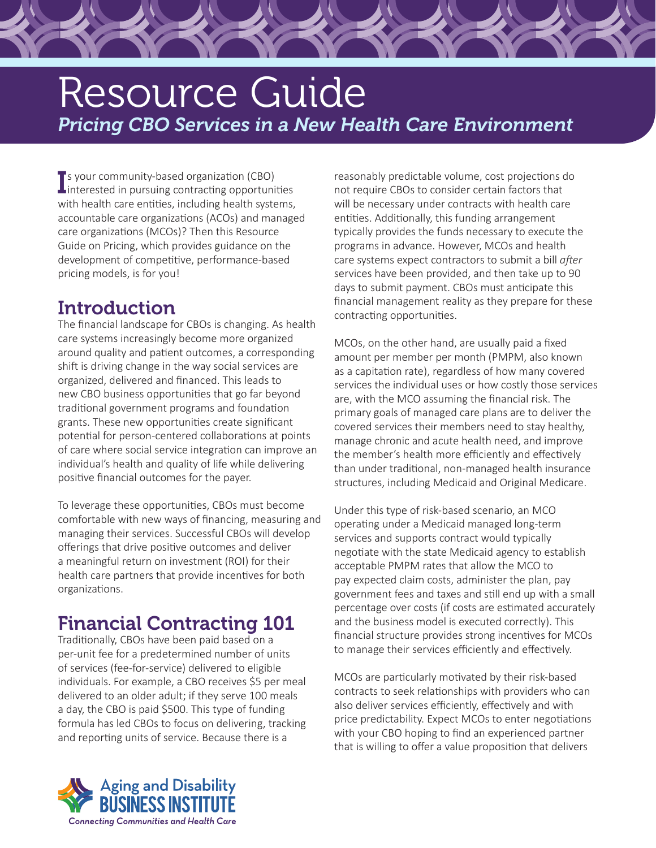# Resource Guide *Pricing CBO Services in a New Health Care Environment*

**I** s your community-based organization (CBO)<br>Interested in pursuing contracting opportuni interested in pursuing contracting opportunities with health care entities, including health systems, accountable care organizations (ACOs) and managed care organizations (MCOs)? Then this Resource Guide on Pricing, which provides guidance on the development of competitive, performance-based pricing models, is for you!

### **Introduction**

The financial landscape for CBOs is changing. As health care systems increasingly become more organized around quality and patient outcomes, a corresponding shift is driving change in the way social services are organized, delivered and financed. This leads to new CBO business opportunities that go far beyond traditional government programs and foundation grants. These new opportunities create significant potential for person-centered collaborations at points of care where social service integration can improve an individual's health and quality of life while delivering positive financial outcomes for the payer.

To leverage these opportunities, CBOs must become comfortable with new ways of financing, measuring and managing their services. Successful CBOs will develop offerings that drive positive outcomes and deliver a meaningful return on investment (ROI) for their health care partners that provide incentives for both organizations.

## Financial Contracting 101

Traditionally, CBOs have been paid based on a per-unit fee for a predetermined number of units of services (fee-for-service) delivered to eligible individuals. For example, a CBO receives \$5 per meal delivered to an older adult; if they serve 100 meals a day, the CBO is paid \$500. This type of funding formula has led CBOs to focus on delivering, tracking and reporting units of service. Because there is a

reasonably predictable volume, cost projections do not require CBOs to consider certain factors that will be necessary under contracts with health care entities. Additionally, this funding arrangement typically provides the funds necessary to execute the programs in advance. However, MCOs and health care systems expect contractors to submit a bill *after*  services have been provided, and then take up to 90 days to submit payment. CBOs must anticipate this financial management reality as they prepare for these contracting opportunities.

MCOs, on the other hand, are usually paid a fixed amount per member per month (PMPM, also known as a capitation rate), regardless of how many covered services the individual uses or how costly those services are, with the MCO assuming the financial risk. The primary goals of managed care plans are to deliver the covered services their members need to stay healthy, manage chronic and acute health need, and improve the member's health more efficiently and effectively than under traditional, non-managed health insurance structures, including Medicaid and Original Medicare.

Under this type of risk-based scenario, an MCO operating under a Medicaid managed long-term services and supports contract would typically negotiate with the state Medicaid agency to establish acceptable PMPM rates that allow the MCO to pay expected claim costs, administer the plan, pay government fees and taxes and still end up with a small percentage over costs (if costs are estimated accurately and the business model is executed correctly). This financial structure provides strong incentives for MCOs to manage their services efficiently and effectively.

MCOs are particularly motivated by their risk-based contracts to seek relationships with providers who can also deliver services efficiently, effectively and with price predictability. Expect MCOs to enter negotiations with your CBO hoping to find an experienced partner that is willing to offer a value proposition that delivers

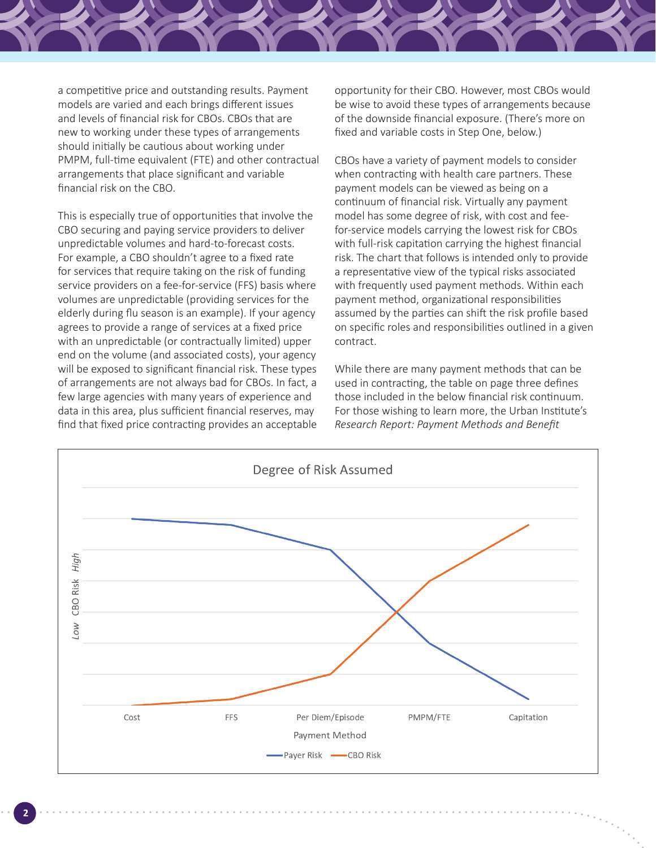

a competitive price and outstanding results. Payment models are varied and each brings different issues and levels of financial risk for CBOs. CBOs that are new to working under these types of arrangements should initially be cautious about working under PMPM, full-time equivalent (FTE) and other contractual arrangements that place significant and variable financial risk on the CBO.

This is especially true of opportunities that involve the CBO securing and paying service providers to deliver unpredictable volumes and hard-to-forecast costs. For example, a CBO shouldn't agree to a fixed rate for services that require taking on the risk of funding service providers on a fee-for-service (FFS) basis where volumes are unpredictable (providing services for the elderly during flu season is an example). If your agency agrees to provide a range of services at a fixed price with an unpredictable (or contractually limited) upper end on the volume (and associated costs), your agency will be exposed to significant financial risk. These types of arrangements are not always bad for CBOs. In fact, a few large agencies with many years of experience and data in this area, plus sufficient financial reserves, may find that fixed price contracting provides an acceptable opportunity for their CBO. However, most CBOs would be wise to avoid these types of arrangements because of the downside financial exposure. (There's more on fixed and variable costs in Step One, below.)

CBOs have a variety of payment models to consider when contracting with health care partners. These payment models can be viewed as being on a continuum of financial risk. Virtually any payment model has some degree of risk, with cost and feefor-service models carrying the lowest risk for CBOs with full-risk capitation carrying the highest financial risk. The chart that follows is intended only to provide a representative view of the typical risks associated with frequently used payment methods. Within each payment method, organizational responsibilities assumed by the parties can shift the risk profile based on specific roles and responsibilities outlined in a given contract.

While there are many payment methods that can be used in contracting, the table on page three defines those included in the below financial risk continuum. For those wishing to learn more, the Urban Institute's *Research Report: Payment Methods and Benefit* 

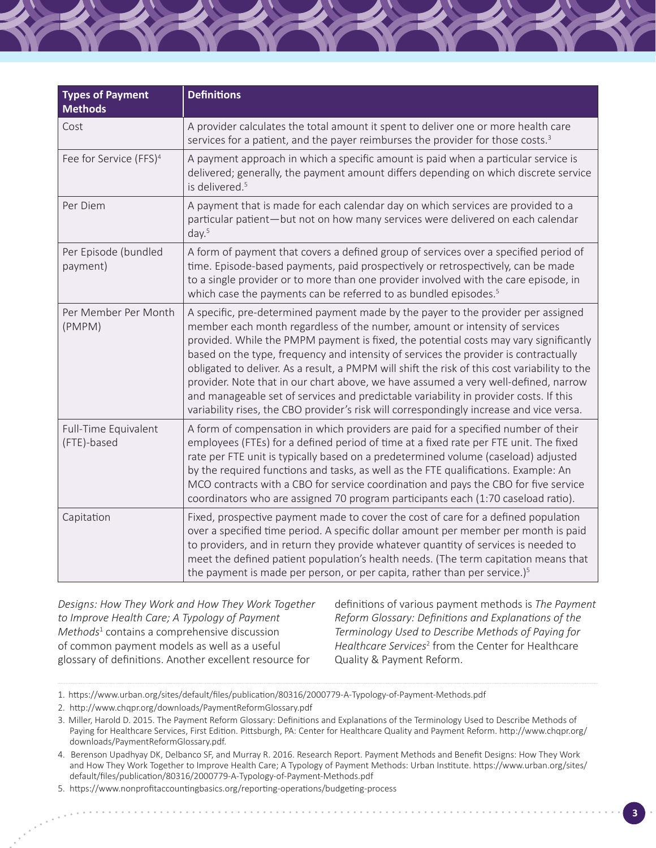| <b>Types of Payment</b><br><b>Methods</b> | <b>Definitions</b>                                                                                                                                                                                                                                                                                                                                                                                                                                                                                                                                                                                                                                                                                                             |
|-------------------------------------------|--------------------------------------------------------------------------------------------------------------------------------------------------------------------------------------------------------------------------------------------------------------------------------------------------------------------------------------------------------------------------------------------------------------------------------------------------------------------------------------------------------------------------------------------------------------------------------------------------------------------------------------------------------------------------------------------------------------------------------|
| Cost                                      | A provider calculates the total amount it spent to deliver one or more health care<br>services for a patient, and the payer reimburses the provider for those costs. <sup>3</sup>                                                                                                                                                                                                                                                                                                                                                                                                                                                                                                                                              |
| Fee for Service (FFS) <sup>4</sup>        | A payment approach in which a specific amount is paid when a particular service is<br>delivered; generally, the payment amount differs depending on which discrete service<br>is delivered. <sup>5</sup>                                                                                                                                                                                                                                                                                                                                                                                                                                                                                                                       |
| Per Diem                                  | A payment that is made for each calendar day on which services are provided to a<br>particular patient—but not on how many services were delivered on each calendar<br>day. <sup>5</sup>                                                                                                                                                                                                                                                                                                                                                                                                                                                                                                                                       |
| Per Episode (bundled<br>payment)          | A form of payment that covers a defined group of services over a specified period of<br>time. Episode-based payments, paid prospectively or retrospectively, can be made<br>to a single provider or to more than one provider involved with the care episode, in<br>which case the payments can be referred to as bundled episodes. <sup>5</sup>                                                                                                                                                                                                                                                                                                                                                                               |
| Per Member Per Month<br>(PMPM)            | A specific, pre-determined payment made by the payer to the provider per assigned<br>member each month regardless of the number, amount or intensity of services<br>provided. While the PMPM payment is fixed, the potential costs may vary significantly<br>based on the type, frequency and intensity of services the provider is contractually<br>obligated to deliver. As a result, a PMPM will shift the risk of this cost variability to the<br>provider. Note that in our chart above, we have assumed a very well-defined, narrow<br>and manageable set of services and predictable variability in provider costs. If this<br>variability rises, the CBO provider's risk will correspondingly increase and vice versa. |
| Full-Time Equivalent<br>(FTE)-based       | A form of compensation in which providers are paid for a specified number of their<br>employees (FTEs) for a defined period of time at a fixed rate per FTE unit. The fixed<br>rate per FTE unit is typically based on a predetermined volume (caseload) adjusted<br>by the required functions and tasks, as well as the FTE qualifications. Example: An<br>MCO contracts with a CBO for service coordination and pays the CBO for five service<br>coordinators who are assigned 70 program participants each (1:70 caseload ratio).                                                                                                                                                                                           |
| Capitation                                | Fixed, prospective payment made to cover the cost of care for a defined population<br>over a specified time period. A specific dollar amount per member per month is paid<br>to providers, and in return they provide whatever quantity of services is needed to<br>meet the defined patient population's health needs. (The term capitation means that<br>the payment is made per person, or per capita, rather than per service.) <sup>5</sup>                                                                                                                                                                                                                                                                               |

*Designs: How They Work and How They Work Together to Improve Health Care; A Typology of Payment*  Methods<sup>1</sup> contains a comprehensive discussion of common payment models as well as a useful glossary of definitions. Another excellent resource for

definitions of various payment methods is *The Payment Reform Glossary: Definitions and Explanations of the Terminology Used to Describe Methods of Paying for*  Healthcare Services<sup>2</sup> from the Center for Healthcare Quality & Payment Reform.

<sup>1.</sup> https://www.urban.org/sites/default/files/publication/80316/2000779-A-Typology-of-Payment-Methods.pdf

<sup>2.</sup> http://www.chqpr.org/downloads/PaymentReformGlossary.pdf

<sup>3.</sup> Miller, Harold D. 2015. The Payment Reform Glossary: Definitions and Explanations of the Terminology Used to Describe Methods of Paying for Healthcare Services, First Edition. Pittsburgh, PA: Center for Healthcare Quality and Payment Reform. http://www.chqpr.org/ downloads/PaymentReformGlossary.pdf.

<sup>4.</sup> Berenson Upadhyay DK, Delbanco SF, and Murray R. 2016. Research Report. Payment Methods and Benefit Designs: How They Work and How They Work Together to Improve Health Care; A Typology of Payment Methods: Urban Institute. https://www.urban.org/sites/ default/files/publication/80316/2000779-A-Typology-of-Payment-Methods.pdf

<sup>5.</sup> https://www.nonprofitaccountingbasics.org/reporting-operations/budgeting-process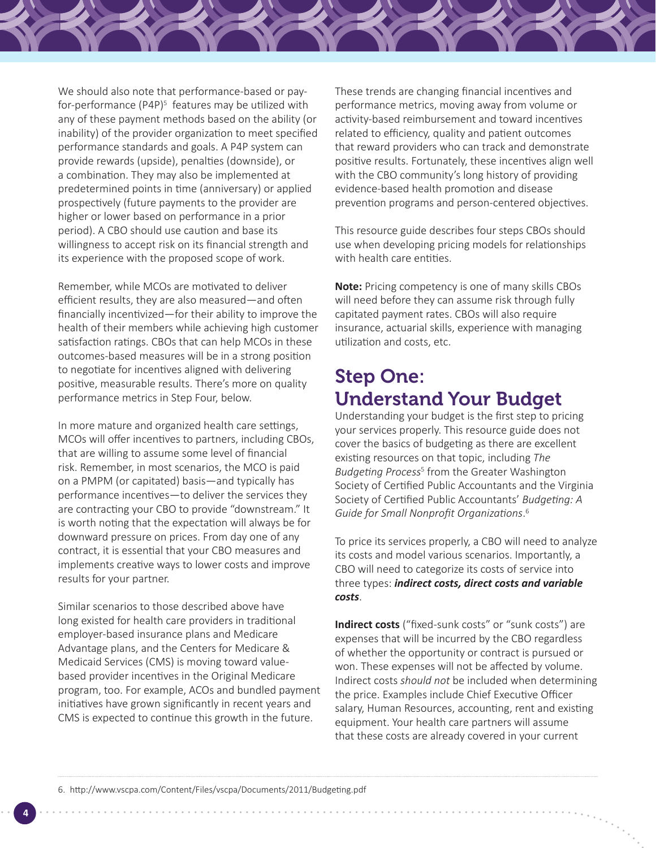

We should also note that performance-based or payfor-performance (P4P)<sup>5</sup> features may be utilized with any of these payment methods based on the ability (or inability) of the provider organization to meet specified performance standards and goals. A P4P system can provide rewards (upside), penalties (downside), or a combination. They may also be implemented at predetermined points in time (anniversary) or applied prospectively (future payments to the provider are higher or lower based on performance in a prior period). A CBO should use caution and base its willingness to accept risk on its financial strength and its experience with the proposed scope of work.

Remember, while MCOs are motivated to deliver efficient results, they are also measured—and often financially incentivized—for their ability to improve the health of their members while achieving high customer satisfaction ratings. CBOs that can help MCOs in these outcomes-based measures will be in a strong position to negotiate for incentives aligned with delivering positive, measurable results. There's more on quality performance metrics in Step Four, below.

In more mature and organized health care settings, MCOs will offer incentives to partners, including CBOs, that are willing to assume some level of financial risk. Remember, in most scenarios, the MCO is paid on a PMPM (or capitated) basis—and typically has performance incentives—to deliver the services they are contracting your CBO to provide "downstream." It is worth noting that the expectation will always be for downward pressure on prices. From day one of any contract, it is essential that your CBO measures and implements creative ways to lower costs and improve results for your partner.

Similar scenarios to those described above have long existed for health care providers in traditional employer-based insurance plans and Medicare Advantage plans, and the Centers for Medicare & Medicaid Services (CMS) is moving toward valuebased provider incentives in the Original Medicare program, too. For example, ACOs and bundled payment initiatives have grown significantly in recent years and CMS is expected to continue this growth in the future.

These trends are changing financial incentives and performance metrics, moving away from volume or activity-based reimbursement and toward incentives related to efficiency, quality and patient outcomes that reward providers who can track and demonstrate positive results. Fortunately, these incentives align well with the CBO community's long history of providing evidence-based health promotion and disease prevention programs and person-centered objectives.

This resource guide describes four steps CBOs should use when developing pricing models for relationships with health care entities.

**Note:** Pricing competency is one of many skills CBOs will need before they can assume risk through fully capitated payment rates. CBOs will also require insurance, actuarial skills, experience with managing utilization and costs, etc.

#### Step One: Understand Your Budget

Understanding your budget is the first step to pricing your services properly. This resource guide does not cover the basics of budgeting as there are excellent existing resources on that topic, including *The Budgeting Process*<sup>5</sup> from the Greater Washington Society of Certified Public Accountants and the Virginia Society of Certified Public Accountants' *Budgeting: A Guide for Small Nonprofit Organizations*. 6

To price its services properly, a CBO will need to analyze its costs and model various scenarios. Importantly, a CBO will need to categorize its costs of service into three types: *indirect costs, direct costs and variable costs*.

**Indirect costs** ("fixed-sunk costs" or "sunk costs") are expenses that will be incurred by the CBO regardless of whether the opportunity or contract is pursued or won. These expenses will not be affected by volume. Indirect costs *should not* be included when determining the price. Examples include Chief Executive Officer salary, Human Resources, accounting, rent and existing equipment. Your health care partners will assume that these costs are already covered in your current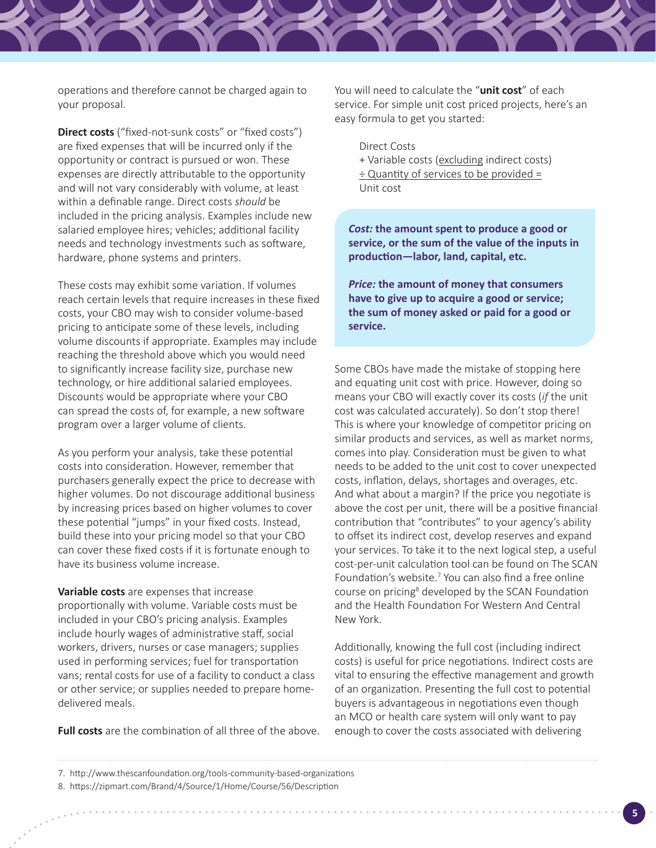operations and therefore cannot be charged again to your proposal.

**Direct costs** ("fixed-not-sunk costs" or "fixed costs") are fixed expenses that will be incurred only if the opportunity or contract is pursued or won. These expenses are directly attributable to the opportunity and will not vary considerably with volume, at least within a definable range. Direct costs *should* be included in the pricing analysis. Examples include new salaried employee hires; vehicles; additional facility needs and technology investments such as software, hardware, phone systems and printers.

These costs may exhibit some variation. If volumes reach certain levels that require increases in these fixed costs, your CBO may wish to consider volume-based pricing to anticipate some of these levels, including volume discounts if appropriate. Examples may include reaching the threshold above which you would need to significantly increase facility size, purchase new technology, or hire additional salaried employees. Discounts would be appropriate where your CBO can spread the costs of, for example, a new software program over a larger volume of clients.

As you perform your analysis, take these potential costs into consideration. However, remember that purchasers generally expect the price to decrease with higher volumes. Do not discourage additional business by increasing prices based on higher volumes to cover these potential "jumps" in your fixed costs. Instead, build these into your pricing model so that your CBO can cover these fixed costs if it is fortunate enough to have its business volume increase.

**Variable costs** are expenses that increase proportionally with volume. Variable costs must be included in your CBO's pricing analysis. Examples include hourly wages of administrative staff, social workers, drivers, nurses or case managers; supplies used in performing services; fuel for transportation vans; rental costs for use of a facility to conduct a class or other service; or supplies needed to prepare homedelivered meals.

**Full costs** are the combination of all three of the above.

You will need to calculate the "**unit cost**" of each service. For simple unit cost priced projects, here's an easy formula to get you started:

Direct Costs + Variable costs (excluding indirect costs) ÷ Quantity of services to be provided = Unit cost

*Cost:* **the amount spent to produce a good or service, or the sum of the value of the inputs in production—labor, land, capital, etc.**

*Price:* **the amount of money that consumers have to give up to acquire a good or service; the sum of money asked or paid for a good or service.**

Some CBOs have made the mistake of stopping here and equating unit cost with price. However, doing so means your CBO will exactly cover its costs (*if* the unit cost was calculated accurately). So don't stop there! This is where your knowledge of competitor pricing on similar products and services, as well as market norms, comes into play. Consideration must be given to what needs to be added to the unit cost to cover unexpected costs, inflation, delays, shortages and overages, etc. And what about a margin? If the price you negotiate is above the cost per unit, there will be a positive financial contribution that "contributes" to your agency's ability to offset its indirect cost, develop reserves and expand your services. To take it to the next logical step, a useful cost-per-unit calculation tool can be found on The SCAN Foundation's website.<sup>7</sup> You can also find a free online course on pricing<sup>8</sup> developed by the SCAN Foundation and the Health Foundation For Western And Central New York.

Additionally, knowing the full cost (including indirect costs) is useful for price negotiations. Indirect costs are vital to ensuring the effective management and growth of an organization. Presenting the full cost to potential buyers is advantageous in negotiations even though an MCO or health care system will only want to pay enough to cover the costs associated with delivering

<sup>7.</sup> http://www.thescanfoundation.org/tools-community-based-organizations

<sup>8.</sup> https://zipmart.com/Brand/4/Source/1/Home/Course/56/Description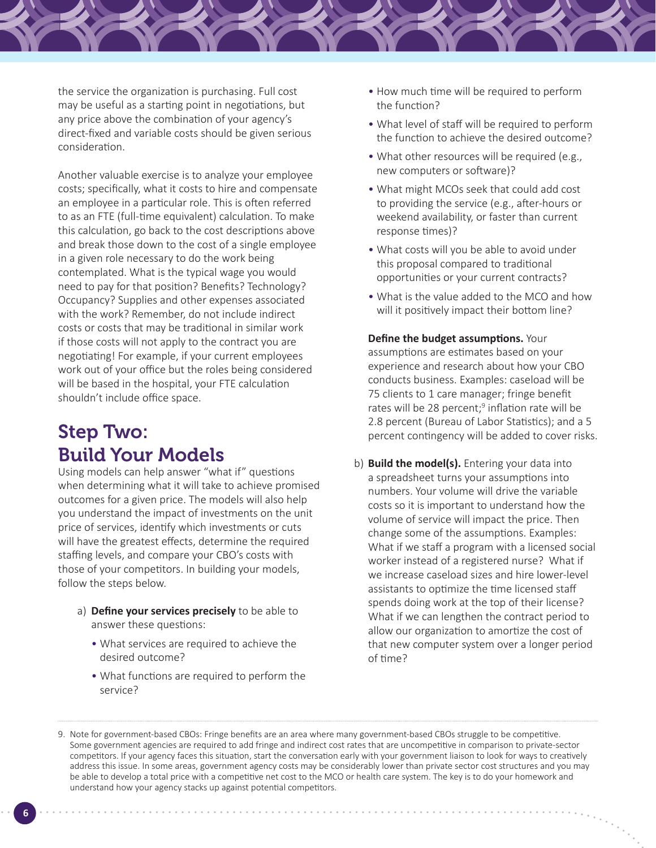the service the organization is purchasing. Full cost may be useful as a starting point in negotiations, but any price above the combination of your agency's direct-fixed and variable costs should be given serious consideration.

Another valuable exercise is to analyze your employee costs; specifically, what it costs to hire and compensate an employee in a particular role. This is often referred to as an FTE (full-time equivalent) calculation. To make this calculation, go back to the cost descriptions above and break those down to the cost of a single employee in a given role necessary to do the work being contemplated. What is the typical wage you would need to pay for that position? Benefits? Technology? Occupancy? Supplies and other expenses associated with the work? Remember, do not include indirect costs or costs that may be traditional in similar work if those costs will not apply to the contract you are negotiating! For example, if your current employees work out of your office but the roles being considered will be based in the hospital, your FTE calculation shouldn't include office space.

#### Step Two: Build Your Models

Using models can help answer "what if" questions when determining what it will take to achieve promised outcomes for a given price. The models will also help you understand the impact of investments on the unit price of services, identify which investments or cuts will have the greatest effects, determine the required staffing levels, and compare your CBO's costs with those of your competitors. In building your models, follow the steps below.

- a) **Define your services precisely** to be able to answer these questions:
	- What services are required to achieve the desired outcome?
	- What functions are required to perform the service?
- How much time will be required to perform the function?
- What level of staff will be required to perform the function to achieve the desired outcome?
- What other resources will be required (e.g., new computers or software)?
- What might MCOs seek that could add cost to providing the service (e.g., after-hours or weekend availability, or faster than current response times)?
- What costs will you be able to avoid under this proposal compared to traditional opportunities or your current contracts?
- What is the value added to the MCO and how will it positively impact their bottom line?

**Define the budget assumptions.** Your assumptions are estimates based on your experience and research about how your CBO conducts business. Examples: caseload will be 75 clients to 1 care manager; fringe benefit rates will be 28 percent;<sup>9</sup> inflation rate will be 2.8 percent (Bureau of Labor Statistics); and a 5 percent contingency will be added to cover risks.

b) **Build the model(s).** Entering your data into a spreadsheet turns your assumptions into numbers. Your volume will drive the variable costs so it is important to understand how the volume of service will impact the price. Then change some of the assumptions. Examples: What if we staff a program with a licensed social worker instead of a registered nurse? What if we increase caseload sizes and hire lower-level assistants to optimize the time licensed staff spends doing work at the top of their license? What if we can lengthen the contract period to allow our organization to amortize the cost of that new computer system over a longer period of time?

<sup>9.</sup> Note for government-based CBOs: Fringe benefits are an area where many government-based CBOs struggle to be competitive. Some government agencies are required to add fringe and indirect cost rates that are uncompetitive in comparison to private-sector competitors. If your agency faces this situation, start the conversation early with your government liaison to look for ways to creatively address this issue. In some areas, government agency costs may be considerably lower than private sector cost structures and you may be able to develop a total price with a competitive net cost to the MCO or health care system. The key is to do your homework and understand how your agency stacks up against potential competitors.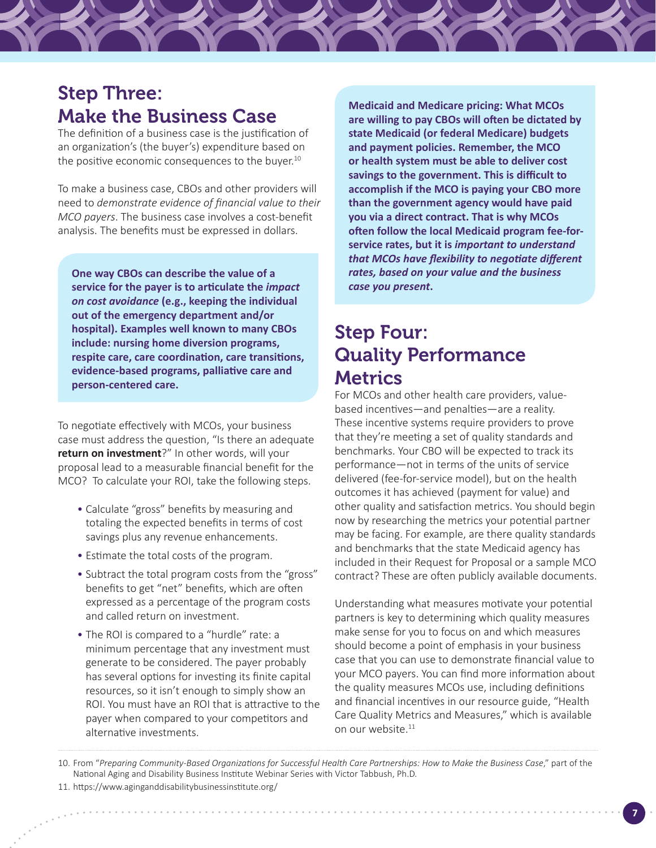#### Step Three: Make the Business Case

The definition of a business case is the justification of an organization's (the buyer's) expenditure based on the positive economic consequences to the buyer.<sup>10</sup>

To make a business case, CBOs and other providers will need to *demonstrate evidence of financial value to their MCO payers*. The business case involves a cost-benefit analysis. The benefits must be expressed in dollars.

**One way CBOs can describe the value of a service for the payer is to articulate the** *impact on cost avoidance* **(e.g., keeping the individual out of the emergency department and/or hospital). Examples well known to many CBOs include: nursing home diversion programs, respite care, care coordination, care transitions, evidence-based programs, palliative care and person-centered care.** 

To negotiate effectively with MCOs, your business case must address the question, "Is there an adequate **return on investment**?" In other words, will your proposal lead to a measurable financial benefit for the MCO? To calculate your ROI, take the following steps.

- Calculate "gross" benefits by measuring and totaling the expected benefits in terms of cost savings plus any revenue enhancements.
- Estimate the total costs of the program.
- Subtract the total program costs from the "gross" benefits to get "net" benefits, which are often expressed as a percentage of the program costs and called return on investment.
- The ROI is compared to a "hurdle" rate: a minimum percentage that any investment must generate to be considered. The payer probably has several options for investing its finite capital resources, so it isn't enough to simply show an ROI. You must have an ROI that is attractive to the payer when compared to your competitors and alternative investments.

**Medicaid and Medicare pricing: What MCOs are willing to pay CBOs will often be dictated by state Medicaid (or federal Medicare) budgets and payment policies. Remember, the MCO or health system must be able to deliver cost savings to the government. This is difficult to accomplish if the MCO is paying your CBO more than the government agency would have paid you via a direct contract. That is why MCOs often follow the local Medicaid program fee-forservice rates, but it is** *important to understand that MCOs have flexibility to negotiate different rates, based on your value and the business case you present***.**

#### Step Four: Quality Performance **Metrics**

For MCOs and other health care providers, valuebased incentives—and penalties—are a reality. These incentive systems require providers to prove that they're meeting a set of quality standards and benchmarks. Your CBO will be expected to track its performance—not in terms of the units of service delivered (fee-for-service model), but on the health outcomes it has achieved (payment for value) and other quality and satisfaction metrics. You should begin now by researching the metrics your potential partner may be facing. For example, are there quality standards and benchmarks that the state Medicaid agency has included in their Request for Proposal or a sample MCO contract? These are often publicly available documents.

Understanding what measures motivate your potential partners is key to determining which quality measures make sense for you to focus on and which measures should become a point of emphasis in your business case that you can use to demonstrate financial value to your MCO payers. You can find more information about the quality measures MCOs use, including definitions and financial incentives in our resource guide, "Health Care Quality Metrics and Measures," which is available on our website.<sup>11</sup>

<sup>10.</sup> From "*Preparing Community-Based Organizations for Successful Health Care Partnerships: How to Make the Business Case*," part of the National Aging and Disability Business Institute Webinar Series with Victor Tabbush, Ph.D.

<sup>11.</sup> https://www.aginganddisabilitybusinessinstitute.org/